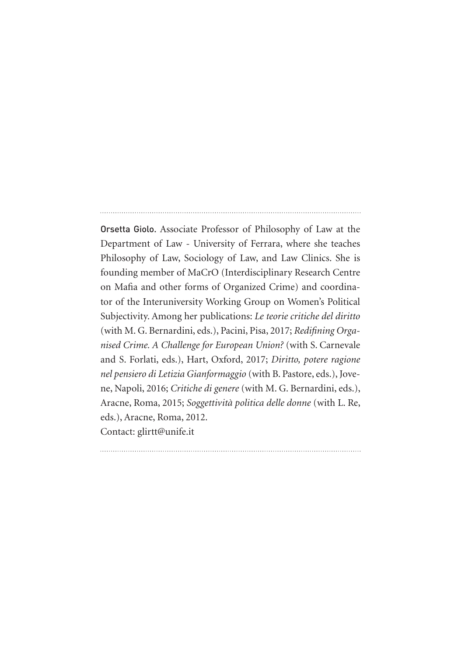Orsetta Giolo. Associate Professor of Philosophy of Law at the Department of Law - University of Ferrara, where she teaches Philosophy of Law, Sociology of Law, and Law Clinics. She is founding member of MaCrO (Interdisciplinary Research Centre on Mafia and other forms of Organized Crime) and coordinator of the Interuniversity Working Group on Women's Political Subjectivity. Among her publications: *Le teorie critiche del diritto* (with M. G. Bernardini, eds.), Pacini, Pisa, 2017; *Redifining Organised Crime. A Challenge for European Union?* (with S. Carnevale and S. Forlati, eds.), Hart, Oxford, 2017; *Diritto, potere ragione nel pensiero di Letizia Gianformaggio* (with B. Pastore, eds.), Jovene, Napoli, 2016; *Critiche di genere* (with M. G. Bernardini, eds.), Aracne, Roma, 2015; *Soggettività politica delle donne* (with L. Re, eds.), Aracne, Roma, 2012. Contact: glirtt@unife.it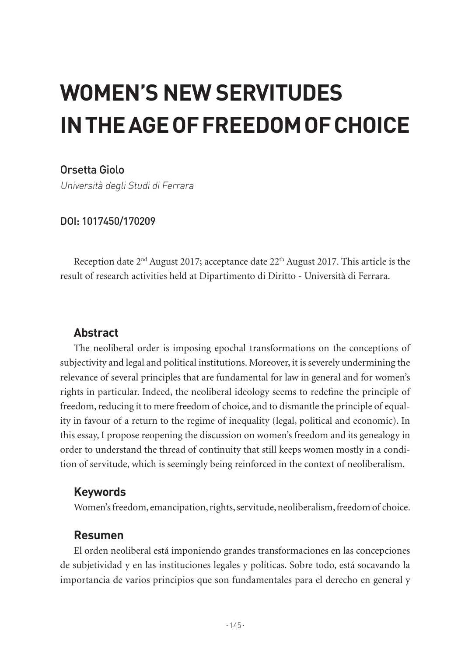# **WOMEN'S NEW SERVITUDES IN THE AGE OF FREEDOM OF CHOICE**

Orsetta Giolo

Università degli Studi di Ferrara

DOI: 1017450/170209

Reception date  $2<sup>nd</sup>$  August 2017; acceptance date  $22<sup>th</sup>$  August 2017. This article is the result of research activities held at Dipartimento di Diritto - Università di Ferrara.

## **Abstract**

The neoliberal order is imposing epochal transformations on the conceptions of subjectivity and legal and political institutions. Moreover, it is severely undermining the relevance of several principles that are fundamental for law in general and for women's rights in particular. Indeed, the neoliberal ideology seems to redefine the principle of freedom, reducing it to mere freedom of choice, and to dismantle the principle of equality in favour of a return to the regime of inequality (legal, political and economic). In this essay, I propose reopening the discussion on women's freedom and its genealogy in order to understand the thread of continuity that still keeps women mostly in a condition of servitude, which is seemingly being reinforced in the context of neoliberalism.

## **Keywords**

Women's freedom, emancipation, rights, servitude, neoliberalism, freedom of choice.

## **Resumen**

El orden neoliberal está imponiendo grandes transformaciones en las concepciones de subjetividad y en las instituciones legales y políticas. Sobre todo, está socavando la importancia de varios principios que son fundamentales para el derecho en general y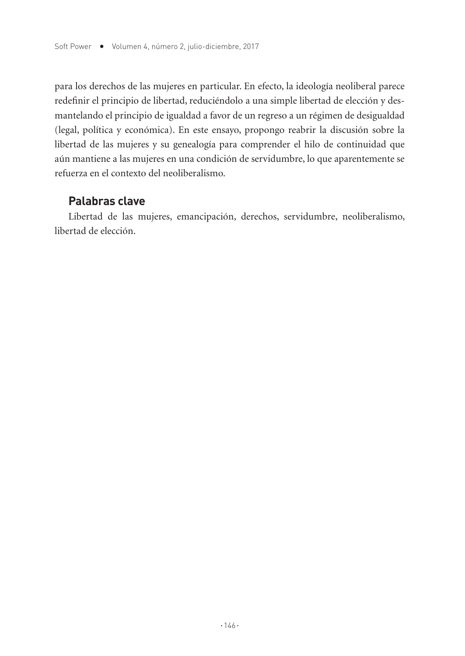para los derechos de las mujeres en particular. En efecto, la ideología neoliberal parece redefinir el principio de libertad, reduciéndolo a una simple libertad de elección y desmantelando el principio de igualdad a favor de un regreso a un régimen de desigualdad (legal, política y económica). En este ensayo, propongo reabrir la discusión sobre la libertad de las mujeres y su genealogía para comprender el hilo de continuidad que aún mantiene a las mujeres en una condición de servidumbre, lo que aparentemente se refuerza en el contexto del neoliberalismo.

#### **Palabras clave**

Libertad de las mujeres, emancipación, derechos, servidumbre, neoliberalismo, libertad de elección.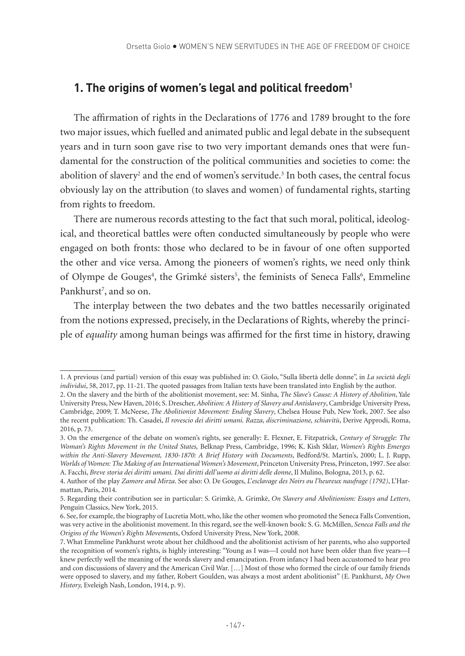### **1. The origins of women's legal and political freedom1**

The affirmation of rights in the Declarations of 1776 and 1789 brought to the fore two major issues, which fuelled and animated public and legal debate in the subsequent years and in turn soon gave rise to two very important demands ones that were fundamental for the construction of the political communities and societies to come: the abolition of slavery $^2$  and the end of women's servitude. $^3$  In both cases, the central focus obviously lay on the attribution (to slaves and women) of fundamental rights, starting from rights to freedom.

There are numerous records attesting to the fact that such moral, political, ideological, and theoretical battles were often conducted simultaneously by people who were engaged on both fronts: those who declared to be in favour of one often supported the other and vice versa. Among the pioneers of women's rights, we need only think of Olympe de Gouges<sup>4</sup>, the Grimké sisters<sup>5</sup>, the feminists of Seneca Falls<sup>6</sup>, Emmeline Pankhurst<sup>7</sup>, and so on.

The interplay between the two debates and the two battles necessarily originated from the notions expressed, precisely, in the Declarations of Rights, whereby the principle of *equality* among human beings was affirmed for the first time in history, drawing

<sup>1.</sup> A previous (and partial) version of this essay was published in: O. Giolo, "Sulla libertà delle donne", in *La società degli individui*, 58, 2017, pp. 11-21. The quoted passages from Italian texts have been translated into English by the author.

<sup>2.</sup> On the slavery and the birth of the abolitionist movement, see: M. Sinha, *The Slave's Cause: A History of Abolition*, Yale University Press, New Haven, 2016; S. Drescher, *Abolition: A History of Slavery and Antislavery*, Cambridge University Press, Cambridge, 2009; T. McNeese, *The Abolitionist Movement: Ending Slavery*, Chelsea House Pub, New York, 2007. See also the recent publication: Th. Casadei, *Il rovescio dei diritti umani. Razza, discriminazione, schiavitù*, Derive Approdi, Roma, 2016, p. 73.

<sup>3.</sup> On the emergence of the debate on women's rights, see generally: E. Flexner, E. Fitzpatrick, *Century of Struggle: The Woman's Rights Movement in the United States,* Belknap Press, Cambridge, 1996; K. Kish Sklar, *Women's Rights Emerges within the Anti-Slavery Movement, 1830-1870: A Brief History with Documents*, Bedford/St. Martin's, 2000; L. J. Rupp, *Worlds of Women: The Making of an International Women's Movement*, Princeton University Press, Princeton, 1997. See also: A. Facchi, *Breve storia dei diritti umani. Dai diritti dell'uomo ai diritti delle donne*, Il Mulino, Bologna, 2013, p. 62.

<sup>4.</sup> Author of the play *Zamore and Mirza*. See also: O. De Gouges, *L'esclavage des Noirs ou l'heureux naufrage (1792)*, L'Harmattan, Paris, 2014.

<sup>5.</sup> Regarding their contribution see in particular: S. Grimkè, A. Grimkè, *On Slavery and Abolitionism: Essays and Letters*, Penguin Classics, New York, 2015.

<sup>6.</sup> See, for example, the biography of Lucretia Mott, who, like the other women who promoted the Seneca Falls Convention, was very active in the abolitionist movement. In this regard, see the well-known book: S. G. McMillen, *Seneca Falls and the Origins of the Women's Rights Moveme*nts, Oxford University Press, New York, 2008.

<sup>7.</sup> What Emmeline Pankhurst wrote about her childhood and the abolitionist activism of her parents, who also supported the recognition of women's rights, is highly interesting: "Young as I was—I could not have been older than five years—I knew perfectly well the meaning of the words slavery and emancipation. From infancy I had been accustomed to hear pro and con discussions of slavery and the American Civil War. […] Most of those who formed the circle of our family friends were opposed to slavery, and my father, Robert Goulden, was always a most ardent abolitionist" (E. Pankhurst, *My Own History,* Eveleigh Nash, London, 1914, p. 9).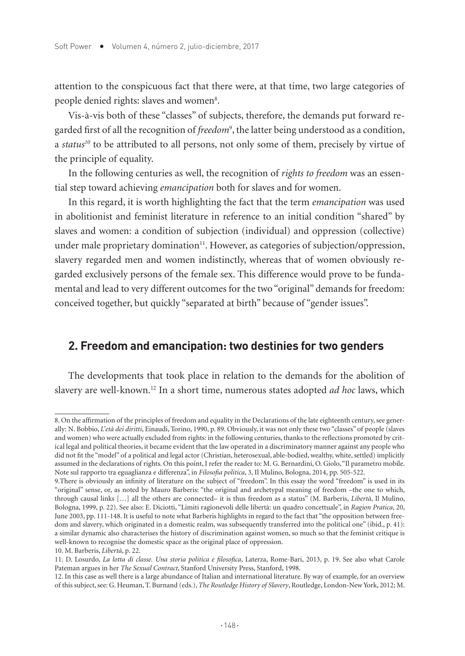attention to the conspicuous fact that there were, at that time, two large categories of people denied rights: slaves and women<sup>8</sup>.

Vis-à-vis both of these "classes" of subjects, therefore, the demands put forward regarded first of all the recognition of *freedom*<sup>9</sup> , the latter being understood as a condition, a *status<sup>10</sup>* to be attributed to all persons, not only some of them, precisely by virtue of the principle of equality.

In the following centuries as well, the recognition of *rights to freedom* was an essential step toward achieving *emancipation* both for slaves and for women.

In this regard, it is worth highlighting the fact that the term *emancipation* was used in abolitionist and feminist literature in reference to an initial condition "shared" by slaves and women: a condition of subjection (individual) and oppression (collective) under male proprietary domination<sup>11</sup>. However, as categories of subjection/oppression, slavery regarded men and women indistinctly, whereas that of women obviously regarded exclusively persons of the female sex. This difference would prove to be fundamental and lead to very different outcomes for the two "original" demands for freedom: conceived together, but quickly "separated at birth" because of "gender issues".

#### **2. Freedom and emancipation: two destinies for two genders**

The developments that took place in relation to the demands for the abolition of slavery are well-known.12 In a short time, numerous states adopted *ad hoc* laws, which

10. M. Barberis, *Libertà*, p. 22.

<sup>8.</sup> On the affirmation of the principles of freedom and equality in the Declarations of the late eighteenth century, see generally: N. Bobbio, *L'età dei diritti*, Einaudi, Torino, 1990, p. 89. Obviously, it was not only these two "classes" of people (slaves and women) who were actually excluded from rights: in the following centuries, thanks to the reflections promoted by critical legal and political theories, it became evident that the law operated in a discriminatory manner against any people who did not fit the "model" of a political and legal actor (Christian, heterosexual, able-bodied, wealthy, white, settled) implicitly assumed in the declarations of rights. On this point, I refer the reader to: M. G. Bernardini, O. Giolo, "Il parametro mobile. Note sul rapporto tra eguaglianza e differenza", in *Filosofia politica*, 3, Il Mulino, Bologna, 2014, pp. 505-522.

<sup>9.</sup>There is obviously an infinity of literature on the subject of "freedom". In this essay the word "freedom" is used in its "original" sense, or, as noted by Mauro Barberis: "the original and archetypal meaning of freedom –the one to which, through causal links […] all the others are connected– it is thus freedom as a status" (M. Barberis, *Libertà*, Il Mulino, Bologna, 1999, p. 22). See also: E. Diciotti, "Limiti ragionevoli delle libertà: un quadro concettuale", in *Ragion Pratica*, 20, June 2003, pp. 111-148. It is useful to note what Barberis highlights in regard to the fact that "the opposition between freedom and slavery, which originated in a domestic realm, was subsequently transferred into the political one" (ibid., p. 41): a similar dynamic also characterises the history of discrimination against women, so much so that the feminist critique is well-known to recognise the domestic space as the original place of oppression.

<sup>11.</sup> D. Losurdo, *La lotta di classe. Una storia politica e filosofica*, Laterza, Rome-Bari, 2013, p. 19. See also what Carole Pateman argues in her *The Sexual Contract*, Stanford University Press, Stanford, 1998.

<sup>12.</sup> In this case as well there is a large abundance of Italian and international literature. By way of example, for an overview of this subject, see: G. Heuman, T. Burnand (eds.), *The Routledge History of Slavery*, Routledge, London-New York, 2012; M.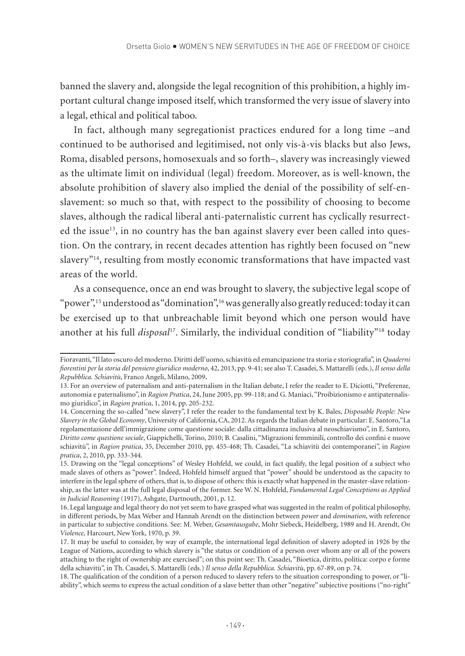banned the slavery and, alongside the legal recognition of this prohibition, a highly important cultural change imposed itself, which transformed the very issue of slavery into a legal, ethical and political taboo.

In fact, although many segregationist practices endured for a long time –and continued to be authorised and legitimised, not only vis-à-vis blacks but also Jews, Roma, disabled persons, homosexuals and so forth–, slavery was increasingly viewed as the ultimate limit on individual (legal) freedom. Moreover, as is well-known, the absolute prohibition of slavery also implied the denial of the possibility of self-enslavement: so much so that, with respect to the possibility of choosing to become slaves, although the radical liberal anti-paternalistic current has cyclically resurrected the issue $13$ , in no country has the ban against slavery ever been called into question. On the contrary, in recent decades attention has rightly been focused on "new slavery"14, resulting from mostly economic transformations that have impacted vast areas of the world.

As a consequence, once an end was brought to slavery, the subjective legal scope of "power",<sup>15</sup> understood as "domination",<sup>16</sup> was generally also greatly reduced: today it can be exercised up to that unbreachable limit beyond which one person would have another at his full *disposal*17. Similarly, the individual condition of "liability"18 today

Fioravanti, "Il lato oscuro del moderno. Diritti dell'uomo, schiavitù ed emancipazione tra storia e storiografia", in *Quaderni fiorentini per la storia del pensiero giuridico moderno*, 42, 2013, pp. 9-41; see also T. Casadei, S. Mattarelli (eds.), *Il senso della Repubblica. Schiavitù*, Franco Angeli, Milano, 2009.

<sup>13.</sup> For an overview of paternalism and anti-paternalism in the Italian debate, I refer the reader to E. Diciotti, "Preferenze, autonomia e paternalismo", in *Ragion Pratica*, 24, June 2005, pp. 99-118; and G. Maniaci, "Proibizionismo e antipaternalismo giuridico", in *Ragion pratica*, 1, 2014, pp. 205-232.

<sup>14.</sup> Concerning the so-called "new slavery", I refer the reader to the fundamental text by K. Bales, *Disposable People: New Slavery in the Global Economy*, University of California, CA, 2012. As regards the Italian debate in particular: E. Santoro,"La regolamentazione dell'immigrazione come questione sociale: dalla cittadinanza inclusiva al neoschiavismo", in E. Santoro, *Diritto come questione sociale*, Giappichelli, Torino, 2010; B. Casalini, "Migrazioni femminili, controllo dei confini e nuove schiavitù", in *Ragion pratica*, 35, December 2010, pp. 455-468; Th. Casadei, "La schiavitù dei contemporanei", in *Ragion pratica*, 2, 2010, pp. 333-344.

<sup>15.</sup> Drawing on the "legal conceptions" of Wesley Hohfeld, we could, in fact qualify, the legal position of a subject who made slaves of others as "power". Indeed, Hohfeld himself argued that "power" should be understood as the capacity to interfere in the legal sphere of others, that is, to dispose of others: this is exactly what happened in the master-slave relationship, as the latter was at the full legal disposal of the former. See W. N. Hohfeld, *Fundamental Legal Conceptions as Applied in Judicial Reasoning* (1917), Ashgate, Dartnouth, 2001, p. 12.

<sup>16.</sup> Legal language and legal theory do not yet seem to have grasped what was suggested in the realm of political philosophy, in different periods, by Max Weber and Hannah Arendt on the distinction between *power* and *domination*, with reference in particular to subjective conditions. See: M. Weber, *Gesamtausgabe*, Mohr Siebeck, Heidelberg, 1989 and H. Arendt, *On Violence,* Harcourt, New York, 1970, p. 39.

<sup>17.</sup> It may be useful to consider, by way of example, the international legal definition of slavery adopted in 1926 by the League of Nations, according to which slavery is "the status or condition of a person over whom any or all of the powers attaching to the right of ownership are exercised"; on this point see: Th. Casadei, "Bioetica, diritto, politica: corpo e forme della schiavitù", in Th. Casadei, S. Mattarelli (eds.) *Il senso della Repubblica. Schiavitù*, pp. 67-89, on p. 74.

<sup>18.</sup> The qualification of the condition of a person reduced to slavery refers to the situation corresponding to power, or "liability", which seems to express the actual condition of a slave better than other "negative" subjective positions ("no-right"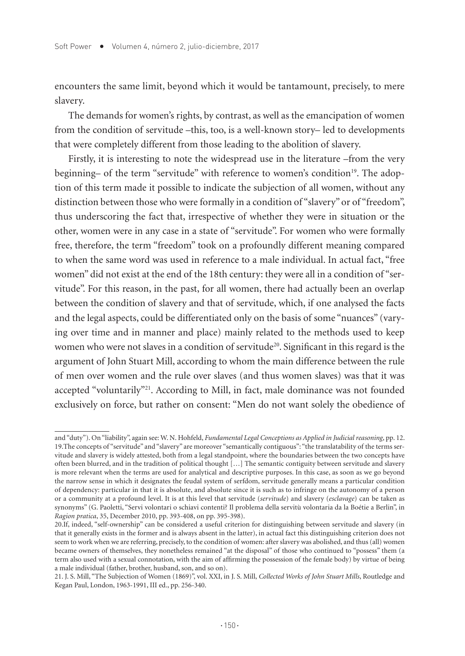encounters the same limit, beyond which it would be tantamount, precisely, to mere slavery.

The demands for women's rights, by contrast, as well as the emancipation of women from the condition of servitude –this, too, is a well-known story– led to developments that were completely different from those leading to the abolition of slavery.

Firstly, it is interesting to note the widespread use in the literature –from the very beginning– of the term "servitude" with reference to women's condition<sup>19</sup>. The adoption of this term made it possible to indicate the subjection of all women, without any distinction between those who were formally in a condition of "slavery" or of "freedom", thus underscoring the fact that, irrespective of whether they were in situation or the other, women were in any case in a state of "servitude". For women who were formally free, therefore, the term "freedom" took on a profoundly different meaning compared to when the same word was used in reference to a male individual. In actual fact, "free women" did not exist at the end of the 18th century: they were all in a condition of "servitude". For this reason, in the past, for all women, there had actually been an overlap between the condition of slavery and that of servitude, which, if one analysed the facts and the legal aspects, could be differentiated only on the basis of some "nuances" (varying over time and in manner and place) mainly related to the methods used to keep women who were not slaves in a condition of servitude<sup>20</sup>. Significant in this regard is the argument of John Stuart Mill, according to whom the main difference between the rule of men over women and the rule over slaves (and thus women slaves) was that it was accepted "voluntarily"<sup>21</sup>. According to Mill, in fact, male dominance was not founded exclusively on force, but rather on consent: "Men do not want solely the obedience of

and "duty"). On "liability", again see: W. N. Hohfeld, *Fundamental Legal Conceptions as Applied in Judicial reasoning*, pp. 12. 19.The concepts of "servitude" and "slavery" are moreover "semantically contiguous": "the translatability of the terms servitude and slavery is widely attested, both from a legal standpoint, where the boundaries between the two concepts have often been blurred, and in the tradition of political thought […] The semantic contiguity between servitude and slavery is more relevant when the terms are used for analytical and descriptive purposes. In this case, as soon as we go beyond the narrow sense in which it designates the feudal system of serfdom, servitude generally means a particular condition of dependency: particular in that it is absolute, and absolute since it is such as to infringe on the autonomy of a person or a community at a profound level. It is at this level that servitude (*servitude*) and slavery (*esclavage*) can be taken as synonyms" (G. Paoletti, "Servi volontari o schiavi contenti? Il problema della servitù volontaria da la Boétie a Berlin", in *Ragion pratica*, 35, December 2010, pp. 393-408, on pp. 395-398).

<sup>20.</sup>If, indeed, "self-ownership" can be considered a useful criterion for distinguishing between servitude and slavery (in that it generally exists in the former and is always absent in the latter), in actual fact this distinguishing criterion does not seem to work when we are referring, precisely, to the condition of women: after slavery was abolished, and thus (all) women became owners of themselves, they nonetheless remained "at the disposal" of those who continued to "possess" them (a term also used with a sexual connotation, with the aim of affirming the possession of the female body) by virtue of being a male individual (father, brother, husband, son, and so on).

<sup>21.</sup> J. S. Mill, "The Subjection of Women (1869)", vol. XXI, in J. S. Mill, *Collected Works of John Stuart Mills*, Routledge and Kegan Paul, London, 1963-1991, III ed., pp. 256-340.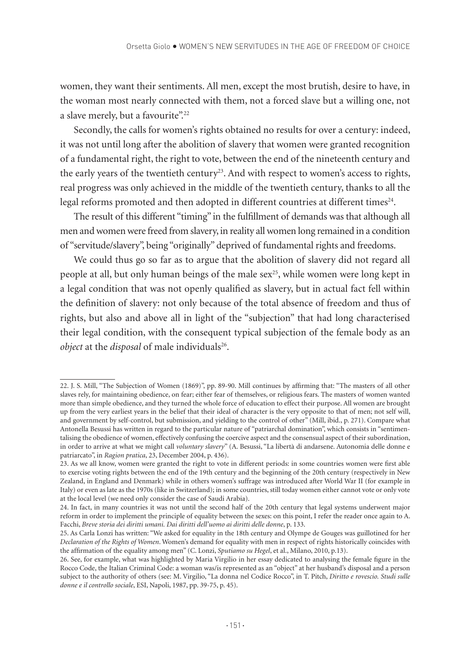women, they want their sentiments. All men, except the most brutish, desire to have, in the woman most nearly connected with them, not a forced slave but a willing one, not a slave merely, but a favourite".<sup>22</sup>

Secondly, the calls for women's rights obtained no results for over a century: indeed, it was not until long after the abolition of slavery that women were granted recognition of a fundamental right, the right to vote, between the end of the nineteenth century and the early years of the twentieth century<sup>23</sup>. And with respect to women's access to rights, real progress was only achieved in the middle of the twentieth century, thanks to all the legal reforms promoted and then adopted in different countries at different times<sup>24</sup>.

The result of this different "timing" in the fulfillment of demands was that although all men and women were freed from slavery, in reality all women long remained in a condition of "servitude/slavery", being "originally" deprived of fundamental rights and freedoms.

We could thus go so far as to argue that the abolition of slavery did not regard all people at all, but only human beings of the male sex<sup>25</sup>, while women were long kept in a legal condition that was not openly qualified as slavery, but in actual fact fell within the definition of slavery: not only because of the total absence of freedom and thus of rights, but also and above all in light of the "subjection" that had long characterised their legal condition, with the consequent typical subjection of the female body as an *object* at the *disposal* of male individuals<sup>26</sup>.

<sup>22.</sup> J. S. Mill, "The Subjection of Women (1869)", pp. 89-90. Mill continues by affirming that: "The masters of all other slaves rely, for maintaining obedience, on fear; either fear of themselves, or religious fears. The masters of women wanted more than simple obedience, and they turned the whole force of education to effect their purpose. All women are brought up from the very earliest years in the belief that their ideal of character is the very opposite to that of men; not self will, and government by self-control, but submission, and yielding to the control of other" (Mill, ibid., p. 271). Compare what Antonella Besussi has written in regard to the particular nature of "patriarchal domination", which consists in "sentimentalising the obedience of women, effectively confusing the coercive aspect and the consensual aspect of their subordination, in order to arrive at what we might call *voluntary slavery*" (A. Besussi, "La libertà di andarsene. Autonomia delle donne e patriarcato", in *Ragion pratica*, 23, December 2004, p. 436).

<sup>23.</sup> As we all know, women were granted the right to vote in different periods: in some countries women were first able to exercise voting rights between the end of the 19th century and the beginning of the 20th century (respectively in New Zealand, in England and Denmark) while in others women's suffrage was introduced after World War II (for example in Italy) or even as late as the 1970s (like in Switzerland); in some countries, still today women either cannot vote or only vote at the local level (we need only consider the case of Saudi Arabia).

<sup>24.</sup> In fact, in many countries it was not until the second half of the 20th century that legal systems underwent major reform in order to implement the principle of equality between the sexes: on this point, I refer the reader once again to A. Facchi, *Breve storia dei diritti umani. Dai diritti dell'uomo ai diritti delle donne*, p. 133.

<sup>25.</sup> As Carla Lonzi has written: "We asked for equality in the 18th century and Olympe de Gouges was guillotined for her *Declaration of the Rights of Women*. Women's demand for equality with men in respect of rights historically coincides with the affirmation of the equality among men" (C. Lonzi, *Sputiamo su Hegel*, et al., Milano, 2010, p.13).

<sup>26.</sup> See, for example, what was highlighted by Maria Virgilio in her essay dedicated to analysing the female figure in the Rocco Code, the Italian Criminal Code: a woman was/is represented as an "object" at her husband's disposal and a person subject to the authority of others (see: M. Virgilio, "La donna nel Codice Rocco", in T. Pitch, *Diritto e rovescio. Studi sulle donne e il controllo sociale*, ESI, Napoli, 1987, pp. 39-75, p. 45).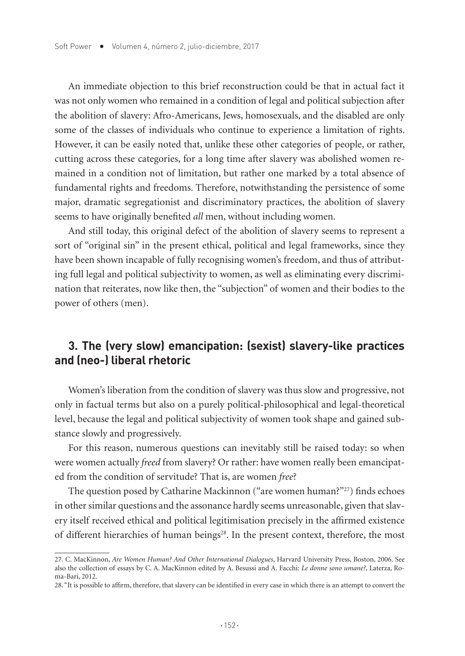An immediate objection to this brief reconstruction could be that in actual fact it was not only women who remained in a condition of legal and political subjection after the abolition of slavery: Afro-Americans, Jews, homosexuals, and the disabled are only some of the classes of individuals who continue to experience a limitation of rights. However, it can be easily noted that, unlike these other categories of people, or rather, cutting across these categories, for a long time after slavery was abolished women remained in a condition not of limitation, but rather one marked by a total absence of fundamental rights and freedoms. Therefore, notwithstanding the persistence of some major, dramatic segregationist and discriminatory practices, the abolition of slavery seems to have originally benefited *all* men, without including women.

And still today, this original defect of the abolition of slavery seems to represent a sort of "original sin" in the present ethical, political and legal frameworks, since they have been shown incapable of fully recognising women's freedom, and thus of attributing full legal and political subjectivity to women, as well as eliminating every discrimination that reiterates, now like then, the "subjection" of women and their bodies to the power of others (men).

## **3. The (very slow) emancipation: (sexist) slavery-like practices and (neo-) liberal rhetoric**

Women's liberation from the condition of slavery was thus slow and progressive, not only in factual terms but also on a purely political-philosophical and legal-theoretical level, because the legal and political subjectivity of women took shape and gained substance slowly and progressively.

For this reason, numerous questions can inevitably still be raised today: so when were women actually *freed* from slavery? Or rather: have women really been emancipated from the condition of servitude? That is, are women *free*?

The question posed by Catharine Mackinnon ("are women human?"27) finds echoes in other similar questions and the assonance hardly seems unreasonable, given that slavery itself received ethical and political legitimisation precisely in the affirmed existence of different hierarchies of human beings<sup>28</sup>. In the present context, therefore, the most

<sup>27.</sup> C. MacKinnon, *Are Women Human? And Other International Dialogues*, Harvard University Press, Boston, 2006. See also the collection of essays by C. A. MacKinnon edited by A. Besussi and A. Facchi: *Le donne sono umane?*, Laterza, Roma-Bari, 2012.

<sup>28. &</sup>quot;It is possible to affirm, therefore, that slavery can be identified in every case in which there is an attempt to convert the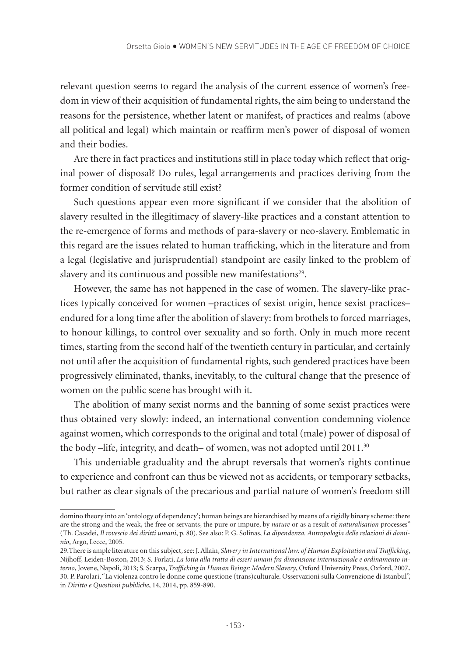relevant question seems to regard the analysis of the current essence of women's freedom in view of their acquisition of fundamental rights, the aim being to understand the reasons for the persistence, whether latent or manifest, of practices and realms (above all political and legal) which maintain or reaffirm men's power of disposal of women and their bodies.

Are there in fact practices and institutions still in place today which reflect that original power of disposal? Do rules, legal arrangements and practices deriving from the former condition of servitude still exist?

Such questions appear even more significant if we consider that the abolition of slavery resulted in the illegitimacy of slavery-like practices and a constant attention to the re-emergence of forms and methods of para-slavery or neo-slavery. Emblematic in this regard are the issues related to human trafficking, which in the literature and from a legal (legislative and jurisprudential) standpoint are easily linked to the problem of slavery and its continuous and possible new manifestations<sup>29</sup>.

However, the same has not happened in the case of women. The slavery-like practices typically conceived for women –practices of sexist origin, hence sexist practices– endured for a long time after the abolition of slavery: from brothels to forced marriages, to honour killings, to control over sexuality and so forth. Only in much more recent times, starting from the second half of the twentieth century in particular, and certainly not until after the acquisition of fundamental rights, such gendered practices have been progressively eliminated, thanks, inevitably, to the cultural change that the presence of women on the public scene has brought with it.

The abolition of many sexist norms and the banning of some sexist practices were thus obtained very slowly: indeed, an international convention condemning violence against women, which corresponds to the original and total (male) power of disposal of the body –life, integrity, and death– of women, was not adopted until 2011.<sup>30</sup>

This undeniable graduality and the abrupt reversals that women's rights continue to experience and confront can thus be viewed not as accidents, or temporary setbacks, but rather as clear signals of the precarious and partial nature of women's freedom still

domino theory into an 'ontology of dependency'; human beings are hierarchised by means of a rigidly binary scheme: there are the strong and the weak, the free or servants, the pure or impure, by *nature* or as a result of *naturalisation* processes" (Th. Casadei, *Il rovescio dei diritti umani*, p. 80). See also: P. G. Solinas, *La dipendenza. Antropologia delle relazioni di dominio*, Argo, Lecce, 2005.

<sup>29.</sup>There is ample literature on this subject, see: J. Allain, *Slavery in International law: of Human Exploitation and Trafficking*, Nijhoff, Leiden-Boston, 2013; S. Forlati, *La lotta alla tratta di esseri umani fra dimensione internazionale e ordinamento interno*, Jovene, Napoli, 2013; S. Scarpa, *Trafficking in Human Beings: Modern Slavery*, Oxford University Press, Oxford, 2007. 30. P. Parolari, "La violenza contro le donne come questione (trans)culturale. Osservazioni sulla Convenzione di Istanbul", in *Diritto e Questioni pubbliche*, 14, 2014, pp. 859-890.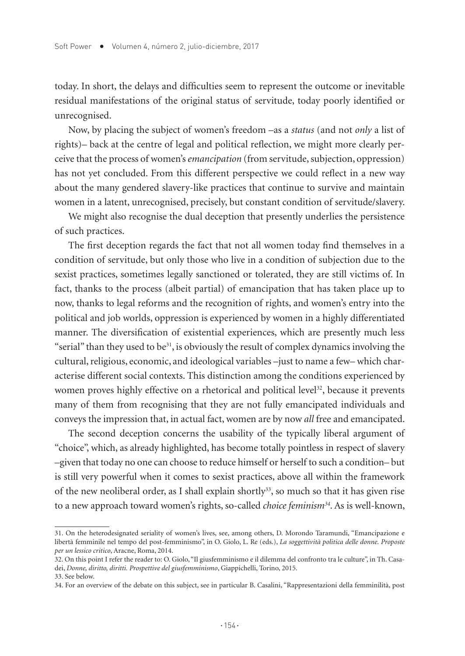today. In short, the delays and difficulties seem to represent the outcome or inevitable residual manifestations of the original status of servitude, today poorly identified or unrecognised.

Now, by placing the subject of women's freedom –as a *status* (and not *only* a list of rights)– back at the centre of legal and political reflection, we might more clearly perceive that the process of women's *emancipation* (from servitude, subjection, oppression) has not yet concluded. From this different perspective we could reflect in a new way about the many gendered slavery-like practices that continue to survive and maintain women in a latent, unrecognised, precisely, but constant condition of servitude/slavery.

We might also recognise the dual deception that presently underlies the persistence of such practices.

The first deception regards the fact that not all women today find themselves in a condition of servitude, but only those who live in a condition of subjection due to the sexist practices, sometimes legally sanctioned or tolerated, they are still victims of. In fact, thanks to the process (albeit partial) of emancipation that has taken place up to now, thanks to legal reforms and the recognition of rights, and women's entry into the political and job worlds, oppression is experienced by women in a highly differentiated manner. The diversification of existential experiences, which are presently much less "serial" than they used to be $31$ , is obviously the result of complex dynamics involving the cultural, religious, economic, and ideological variables –just to name a few– which characterise different social contexts. This distinction among the conditions experienced by women proves highly effective on a rhetorical and political level<sup>32</sup>, because it prevents many of them from recognising that they are not fully emancipated individuals and conveys the impression that, in actual fact, women are by now *all* free and emancipated.

The second deception concerns the usability of the typically liberal argument of "choice", which, as already highlighted, has become totally pointless in respect of slavery –given that today no one can choose to reduce himself or herself to such a condition– but is still very powerful when it comes to sexist practices, above all within the framework of the new neoliberal order, as I shall explain shortly<sup>33</sup>, so much so that it has given rise to a new approach toward women's rights, so-called *choice feminism34*. As is well-known,

<sup>31.</sup> On the heterodesignated seriality of women's lives, see, among others, D. Morondo Taramundi, "Emancipazione e libertà femminile nel tempo del post-femminismo", in O. Giolo, L. Re (eds.), *La soggettività politica delle donne. Proposte per un lessico critico*, Aracne, Roma, 2014.

<sup>32.</sup> On this point I refer the reader to: O. Giolo, "Il giusfemminismo e il dilemma del confronto tra le culture", in Th. Casadei, *Donne, diritto, diritti. Prospettive del giusfemminismo*, Giappichelli, Torino, 2015. 33. See below.

<sup>34.</sup> For an overview of the debate on this subject, see in particular B. Casalini, "Rappresentazioni della femminilità, post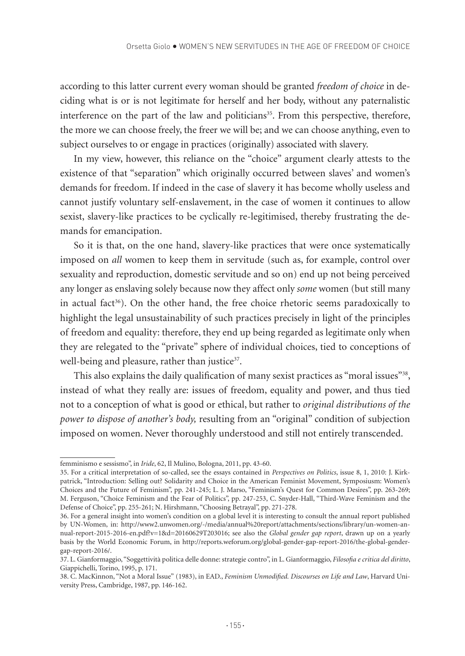according to this latter current every woman should be granted *freedom of choice* in deciding what is or is not legitimate for herself and her body, without any paternalistic interference on the part of the law and politicians<sup>35</sup>. From this perspective, therefore, the more we can choose freely, the freer we will be; and we can choose anything, even to subject ourselves to or engage in practices (originally) associated with slavery.

In my view, however, this reliance on the "choice" argument clearly attests to the existence of that "separation" which originally occurred between slaves' and women's demands for freedom. If indeed in the case of slavery it has become wholly useless and cannot justify voluntary self-enslavement, in the case of women it continues to allow sexist, slavery-like practices to be cyclically re-legitimised, thereby frustrating the demands for emancipation.

So it is that, on the one hand, slavery-like practices that were once systematically imposed on *all* women to keep them in servitude (such as, for example, control over sexuality and reproduction, domestic servitude and so on) end up not being perceived any longer as enslaving solely because now they affect only *some* women (but still many in actual fact<sup>36</sup>). On the other hand, the free choice rhetoric seems paradoxically to highlight the legal unsustainability of such practices precisely in light of the principles of freedom and equality: therefore, they end up being regarded as legitimate only when they are relegated to the "private" sphere of individual choices, tied to conceptions of well-being and pleasure, rather than justice<sup>37</sup>.

This also explains the daily qualification of many sexist practices as "moral issues"<sup>38</sup>, instead of what they really are: issues of freedom, equality and power, and thus tied not to a conception of what is good or ethical, but rather to *original distributions of the power to dispose of another's body,* resulting from an "original" condition of subjection imposed on women. Never thoroughly understood and still not entirely transcended.

femminismo e sessismo", in *Iride*, 62, Il Mulino, Bologna, 2011, pp. 43-60.

<sup>35.</sup> For a critical interpretation of so-called, see the essays contained in *Perspectives on Politics*, issue 8, 1, 2010: J. Kirkpatrick, "Introduction: Selling out? Solidarity and Choice in the American Feminist Movement, Symposiusm: Women's Choices and the Future of Feminism", pp. 241-245; L. J. Marso, "Feminism's Quest for Common Desires", pp. 263-269; M. Ferguson, "Choice Feminism and the Fear of Politics", pp. 247-253, C. Snyder-Hall, "Third-Wave Feminism and the Defense of Choice", pp. 255-261; N. Hirshmann, "Choosing Betrayal", pp. 271-278.

<sup>36.</sup> For a general insight into women's condition on a global level it is interesting to consult the annual report published by UN-Women, in: http://www2.unwomen.org/-/media/annual%20report/attachments/sections/library/un-women-annual-report-2015-2016-en.pdf?v=1&d=20160629T203016; see also the *Global gender gap report*, drawn up on a yearly basis by the World Economic Forum, in http://reports.weforum.org/global-gender-gap-report-2016/the-global-gendergap-report-2016/.

<sup>37.</sup> L. Gianformaggio, "Soggettività politica delle donne: strategie contro", in L. Gianformaggio, *Filosofia e critica del diritto*, Giappichelli, Torino, 1995, p. 171.

<sup>38.</sup> C. MacKinnon, "Not a Moral Issue" (1983), in EAD., *Feminism Unmodified. Discourses on Life and Law*, Harvard University Press, Cambridge, 1987, pp. 146-162.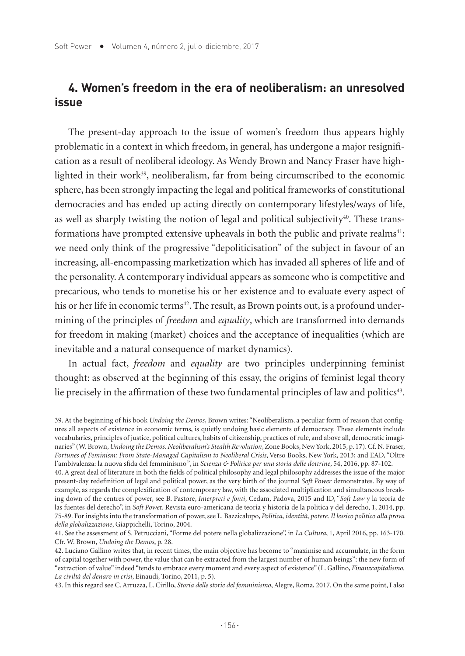## **4. Women's freedom in the era of neoliberalism: an unresolved issue**

The present-day approach to the issue of women's freedom thus appears highly problematic in a context in which freedom, in general, has undergone a major resignification as a result of neoliberal ideology. As Wendy Brown and Nancy Fraser have highlighted in their work $39$ , neoliberalism, far from being circumscribed to the economic sphere, has been strongly impacting the legal and political frameworks of constitutional democracies and has ended up acting directly on contemporary lifestyles/ways of life, as well as sharply twisting the notion of legal and political subjectivity $40$ . These transformations have prompted extensive upheavals in both the public and private realms<sup>41</sup>: we need only think of the progressive "depoliticisation" of the subject in favour of an increasing, all-encompassing marketization which has invaded all spheres of life and of the personality. A contemporary individual appears as someone who is competitive and precarious, who tends to monetise his or her existence and to evaluate every aspect of his or her life in economic terms<sup>42</sup>. The result, as Brown points out, is a profound undermining of the principles of *freedom* and *equality*, which are transformed into demands for freedom in making (market) choices and the acceptance of inequalities (which are inevitable and a natural consequence of market dynamics).

In actual fact, *freedom* and *equality* are two principles underpinning feminist thought: as observed at the beginning of this essay, the origins of feminist legal theory lie precisely in the affirmation of these two fundamental principles of law and politics<sup>43</sup>.

39. At the beginning of his book *Undoing the Demos*, Brown writes: "Neoliberalism, a peculiar form of reason that configures all aspects of existence in economic terms, is quietly undoing basic elements of democracy. These elements include vocabularies, principles of justice, political cultures, habits of citizenship, practices of rule, and above all, democratic imaginaries" (W. Brown, *Undoing the Demos. Neoliberalism's Stealth Revolution*, Zone Books, New York, 2015, p. 17). Cf. N. Fraser, *Fortunes of Feminism: From State-Managed Capitalism to Neoliberal Crisis*, Verso Books, New York, 2013; and EAD, "Oltre l'ambivalenza: la nuova sfida del femminismo*"*, in *Scienza & Politica per una storia delle dottrine*, 54, 2016, pp. 87-102.

<sup>40.</sup> A great deal of literature in both the fields of political philosophy and legal philosophy addresses the issue of the major present-day redefinition of legal and political power, as the very birth of the journal *Soft Power* demonstrates. By way of example, as regards the complexification of contemporary law, with the associated multiplication and simultaneous breaking down of the centres of power, see B. Pastore, *Interpreti e fonti*, Cedam, Padova, 2015 and ID, "*Soft Law* y la teoría de las fuentes del derecho", in *Soft Powe*r. Revista euro-americana de teoria y historia de la politica y del derecho, 1, 2014, pp. 75-89. For insights into the transformation of power, see L. Bazzicalupo, *Politica, identità, potere. Il lessico politico alla prova della globalizzazione*, Giappichelli, Torino, 2004.

<sup>41.</sup> See the assessment of S. Petrucciani, "Forme del potere nella globalizzazione", in *La Cultura*, 1, April 2016, pp. 163-170. Cfr. W. Brown, *Undoing the Demos*, p. 28.

<sup>42.</sup> Luciano Gallino writes that, in recent times, the main objective has become to "maximise and accumulate, in the form of capital together with power, the value that can be extracted from the largest number of human beings": the new form of "extraction of value" indeed "tends to embrace every moment and every aspect of existence" (L. Gallino, *Finanzcapitalismo. La civiltà del denaro in crisi*, Einaudi, Torino, 2011, p. 5).

<sup>43.</sup> In this regard see C. Arruzza, L. Cirillo, *Storia delle storie del femminismo*, Alegre, Roma, 2017. On the same point, I also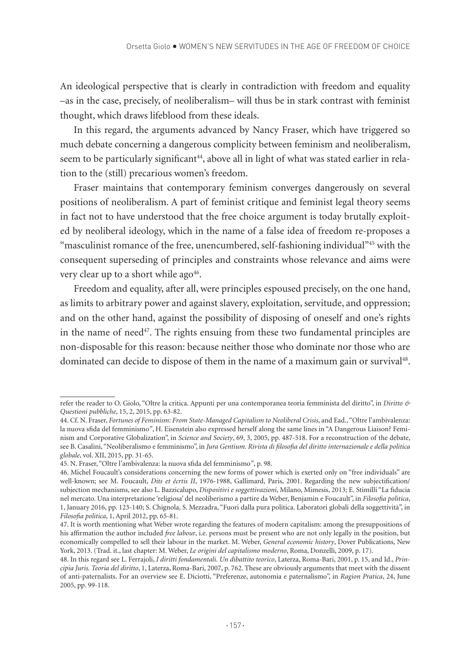An ideological perspective that is clearly in contradiction with freedom and equality –as in the case, precisely, of neoliberalism– will thus be in stark contrast with feminist thought, which draws lifeblood from these ideals.

In this regard, the arguments advanced by Nancy Fraser, which have triggered so much debate concerning a dangerous complicity between feminism and neoliberalism, seem to be particularly significant<sup>44</sup>, above all in light of what was stated earlier in relation to the (still) precarious women's freedom.

Fraser maintains that contemporary feminism converges dangerously on several positions of neoliberalism. A part of feminist critique and feminist legal theory seems in fact not to have understood that the free choice argument is today brutally exploited by neoliberal ideology, which in the name of a false idea of freedom re-proposes a "masculinist romance of the free, unencumbered, self-fashioning individual"<sup>45</sup> with the consequent superseding of principles and constraints whose relevance and aims were very clear up to a short while ago<sup>46</sup>.

Freedom and equality, after all, were principles espoused precisely, on the one hand, as limits to arbitrary power and against slavery, exploitation, servitude, and oppression; and on the other hand, against the possibility of disposing of oneself and one's rights in the name of need $47$ . The rights ensuing from these two fundamental principles are non-disposable for this reason: because neither those who dominate nor those who are dominated can decide to dispose of them in the name of a maximum gain or survival48.

refer the reader to O. Giolo, "Oltre la critica. Appunti per una contemporanea teoria femminista del diritto", in *Diritto & Questioni pubbliche*, 15, 2, 2015, pp. 63-82.

<sup>44.</sup> Cf. N. Fraser, *Fortunes of Feminism: From State-Managed Capitalism to Neoliberal Crisis*, and Ead., "Oltre l'ambivalenza: la nuova sfida del femminismo*"*, H. Eisenstein also expressed herself along the same lines in "A Dangerous Liaison? Feminism and Corporative Globalization", in *Science and Society*, 69, 3, 2005, pp. 487-518. For a reconstruction of the debate, see B. Casalini, "Neoliberalismo e femminismo", in *Jura Gentium. Rivista di filosofia del diritto internazionale e della politica globale*, vol. XII, 2015, pp. 31-65.

<sup>45.</sup> N. Fraser, "Oltre l'ambivalenza: la nuova sfida del femminismo*"*, p. 98.

<sup>46.</sup> Michel Foucault's considerations concerning the new forms of power which is exerted only on "free individuals" are well-known; see M. Foucault, *Dits et écrtis II*, 1976-1988, Gallimard, Paris, 2001. Regarding the new subjectification/ subjection mechanisms, see also L. Bazzicalupo, *Dispositivi e soggettivazioni*, Milano, Mimesis, 2013; E. Stimilli "La fiducia nel mercato. Una interpretazione 'religiosa' del neoliberismo a partire da Weber, Benjamin e Foucault", in *Filosofia politica*, 1, January 2016, pp. 123-140; S. Chignola, S. Mezzadra, "Fuori dalla pura politica. Laboratori globali della soggettività", in *Filosofia politica*, 1, April 2012, pp. 65-81.

<sup>47.</sup> It is worth mentioning what Weber wrote regarding the features of modern capitalism: among the presuppositions of his affirmation the author included *free labour*, i.e. persons must be present who are not only legally in the position, but economically compelled to sell their labour in the market. M. Weber, *General economic history*, Dover Publications, New York, 2013. (Trad. it., last chapter: M. Weber, *Le origini del capitalismo moderno*, Roma, Donzelli, 2009, p. 17).

<sup>48.</sup> In this regard see L. Ferrajoli, *I diritti fondamentali. Un dibattito teorico*, Laterza, Roma-Bari, 2001, p. 15, and Id., *Principia Juris. Teoria del diritto*, 1, Laterza, Roma-Bari, 2007, p. 762. These are obviously arguments that meet with the dissent of anti-paternalists. For an overview see E. Diciotti, "Preferenze, autonomia e paternalismo", in *Ragion Pratica*, 24, June 2005, pp. 99-118.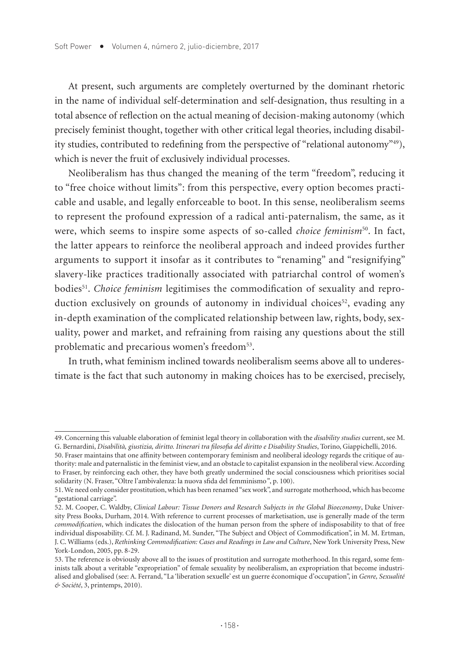At present, such arguments are completely overturned by the dominant rhetoric in the name of individual self-determination and self-designation, thus resulting in a total absence of reflection on the actual meaning of decision-making autonomy (which precisely feminist thought, together with other critical legal theories, including disability studies, contributed to redefining from the perspective of "relational autonomy"<sup>49</sup>), which is never the fruit of exclusively individual processes.

Neoliberalism has thus changed the meaning of the term "freedom", reducing it to "free choice without limits": from this perspective, every option becomes practicable and usable, and legally enforceable to boot. In this sense, neoliberalism seems to represent the profound expression of a radical anti-paternalism, the same, as it were, which seems to inspire some aspects of so-called *choice feminism*<sup>50</sup>. In fact, the latter appears to reinforce the neoliberal approach and indeed provides further arguments to support it insofar as it contributes to "renaming" and "resignifying" slavery-like practices traditionally associated with patriarchal control of women's bodies51. *Choice feminism* legitimises the commodification of sexuality and reproduction exclusively on grounds of autonomy in individual choices<sup>52</sup>, evading any in-depth examination of the complicated relationship between law, rights, body, sexuality, power and market, and refraining from raising any questions about the still problematic and precarious women's freedom<sup>53</sup>.

In truth, what feminism inclined towards neoliberalism seems above all to underestimate is the fact that such autonomy in making choices has to be exercised, precisely,

<sup>49.</sup> Concerning this valuable elaboration of feminist legal theory in collaboration with the *disability studies* current, see M. G. Bernardini, *Disabilità, giustizia, diritto. Itinerari tra filosofia del diritto e Disability Studies*, Torino, Giappichelli, 2016.

<sup>50.</sup> Fraser maintains that one affinity between contemporary feminism and neoliberal ideology regards the critique of authority: male and paternalistic in the feminist view, and an obstacle to capitalist expansion in the neoliberal view. According to Fraser, by reinforcing each other, they have both greatly undermined the social consciousness which prioritises social solidarity (N. Fraser, "Oltre l'ambivalenza: la nuova sfida del femminismo*"*, p. 100).

<sup>51.</sup> We need only consider prostitution, which has been renamed "sex work", and surrogate motherhood, which has become "gestational carriage".

<sup>52.</sup> M. Cooper, C. Waldby, *Clinical Labour: Tissue Donors and Research Subjects in the Global Bioeconomy*, Duke University Press Books, Durham, 2014. With reference to current processes of marketisation, use is generally made of the term *commodification*, which indicates the dislocation of the human person from the sphere of indisposability to that of free individual disposability. Cf. M. J. Radinand, M. Sunder, "The Subject and Object of Commodification", in M. M. Ertman, J. C. Williams (eds.), *Rethinking Commodification: Cases and Readings in Law and Culture*, New York University Press, New York-London, 2005, pp. 8-29.

<sup>53.</sup> The reference is obviously above all to the issues of prostitution and surrogate motherhood. In this regard, some feminists talk about a veritable "expropriation" of female sexuality by neoliberalism, an expropriation that become industrialised and globalised (see: A. Ferrand, "La 'liberation sexuelle' est un guerre économique d'occupation", in *Genre, Sexualité & Société*, 3, printemps, 2010).